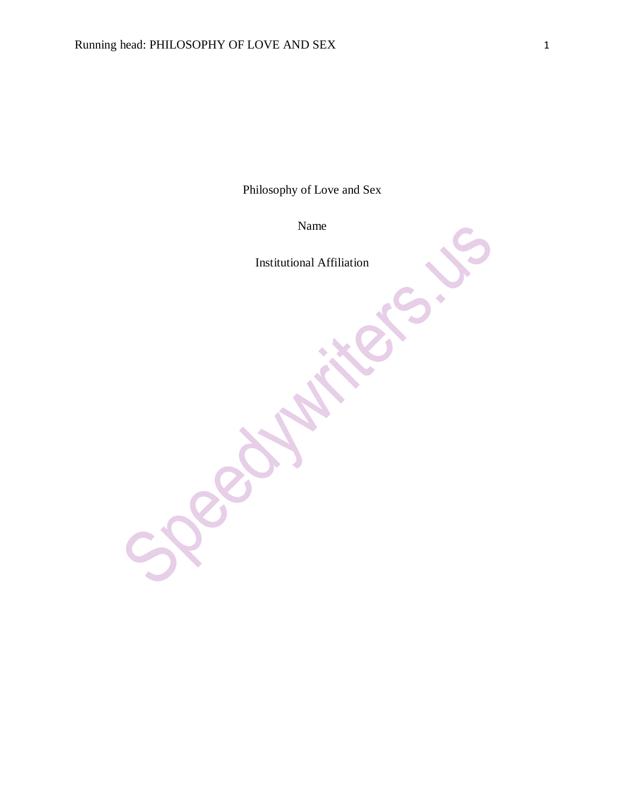Philosophy of Love and Sex

Name

Institutional Affiliation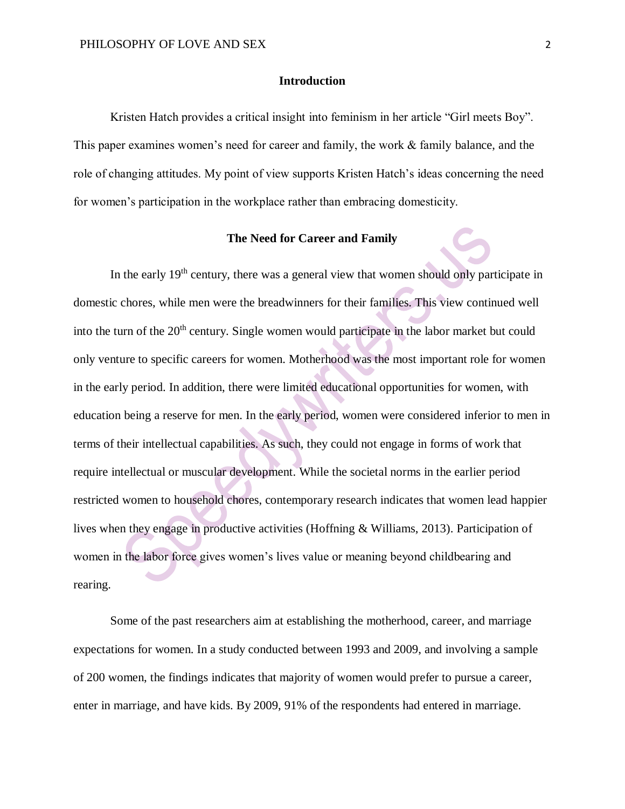### **Introduction**

Kristen Hatch provides a critical insight into feminism in her article "Girl meets Boy". This paper examines women's need for career and family, the work & family balance, and the role of changing attitudes. My point of view supports Kristen Hatch's ideas concerning the need for women's participation in the workplace rather than embracing domesticity.

## **The Need for Career and Family**

In the early 19<sup>th</sup> century, there was a general view that women should only participate in domestic chores, while men were the breadwinners for their families. This view continued well into the turn of the  $20<sup>th</sup>$  century. Single women would participate in the labor market but could only venture to specific careers for women. Motherhood was the most important role for women in the early period. In addition, there were limited educational opportunities for women, with education being a reserve for men. In the early period, women were considered inferior to men in terms of their intellectual capabilities. As such, they could not engage in forms of work that require intellectual or muscular development. While the societal norms in the earlier period restricted women to household chores, contemporary research indicates that women lead happier lives when they engage in productive activities (Hoffning & Williams, 2013). Participation of women in the labor force gives women's lives value or meaning beyond childbearing and rearing.

Some of the past researchers aim at establishing the motherhood, career, and marriage expectations for women. In a study conducted between 1993 and 2009, and involving a sample of 200 women, the findings indicates that majority of women would prefer to pursue a career, enter in marriage, and have kids. By 2009, 91% of the respondents had entered in marriage.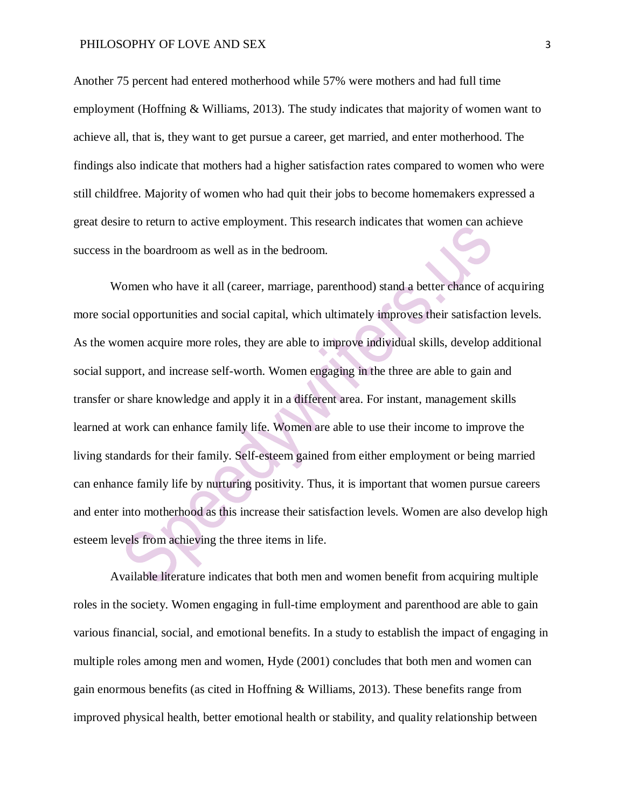Another 75 percent had entered motherhood while 57% were mothers and had full time employment (Hoffning & Williams, 2013). The study indicates that majority of women want to achieve all, that is, they want to get pursue a career, get married, and enter motherhood. The findings also indicate that mothers had a higher satisfaction rates compared to women who were still childfree. Majority of women who had quit their jobs to become homemakers expressed a great desire to return to active employment. This research indicates that women can achieve success in the boardroom as well as in the bedroom.

Women who have it all (career, marriage, parenthood) stand a better chance of acquiring more social opportunities and social capital, which ultimately improves their satisfaction levels. As the women acquire more roles, they are able to improve individual skills, develop additional social support, and increase self-worth. Women engaging in the three are able to gain and transfer or share knowledge and apply it in a different area. For instant, management skills learned at work can enhance family life. Women are able to use their income to improve the living standards for their family. Self-esteem gained from either employment or being married can enhance family life by nurturing positivity. Thus, it is important that women pursue careers and enter into motherhood as this increase their satisfaction levels. Women are also develop high esteem levels from achieving the three items in life.

Available literature indicates that both men and women benefit from acquiring multiple roles in the society. Women engaging in full-time employment and parenthood are able to gain various financial, social, and emotional benefits. In a study to establish the impact of engaging in multiple roles among men and women, Hyde (2001) concludes that both men and women can gain enormous benefits (as cited in Hoffning & Williams, 2013). These benefits range from improved physical health, better emotional health or stability, and quality relationship between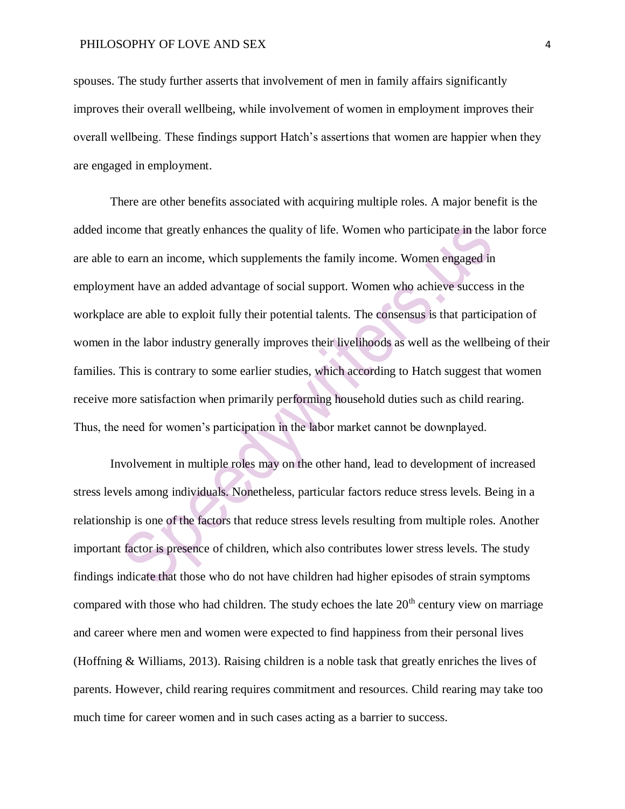spouses. The study further asserts that involvement of men in family affairs significantly improves their overall wellbeing, while involvement of women in employment improves their overall wellbeing. These findings support Hatch's assertions that women are happier when they are engaged in employment.

There are other benefits associated with acquiring multiple roles. A major benefit is the added income that greatly enhances the quality of life. Women who participate in the labor force are able to earn an income, which supplements the family income. Women engaged in employment have an added advantage of social support. Women who achieve success in the workplace are able to exploit fully their potential talents. The consensus is that participation of women in the labor industry generally improves their livelihoods as well as the wellbeing of their families. This is contrary to some earlier studies, which according to Hatch suggest that women receive more satisfaction when primarily performing household duties such as child rearing. Thus, the need for women's participation in the labor market cannot be downplayed.

Involvement in multiple roles may on the other hand, lead to development of increased stress levels among individuals. Nonetheless, particular factors reduce stress levels. Being in a relationship is one of the factors that reduce stress levels resulting from multiple roles. Another important factor is presence of children, which also contributes lower stress levels. The study findings indicate that those who do not have children had higher episodes of strain symptoms compared with those who had children. The study echoes the late  $20<sup>th</sup>$  century view on marriage and career where men and women were expected to find happiness from their personal lives (Hoffning & Williams, 2013). Raising children is a noble task that greatly enriches the lives of parents. However, child rearing requires commitment and resources. Child rearing may take too much time for career women and in such cases acting as a barrier to success.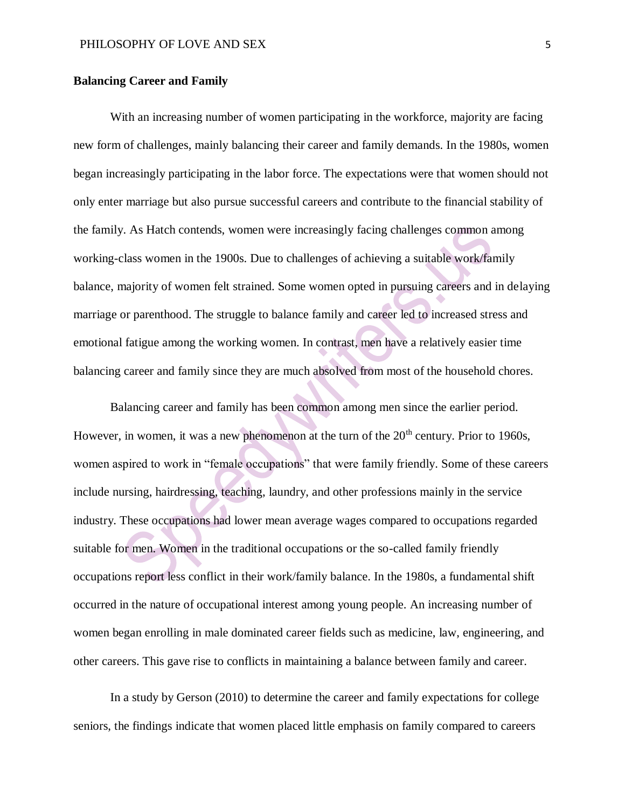## **Balancing Career and Family**

With an increasing number of women participating in the workforce, majority are facing new form of challenges, mainly balancing their career and family demands. In the 1980s, women began increasingly participating in the labor force. The expectations were that women should not only enter marriage but also pursue successful careers and contribute to the financial stability of the family. As Hatch contends, women were increasingly facing challenges common among working-class women in the 1900s. Due to challenges of achieving a suitable work/family balance, majority of women felt strained. Some women opted in pursuing careers and in delaying marriage or parenthood. The struggle to balance family and career led to increased stress and emotional fatigue among the working women. In contrast, men have a relatively easier time balancing career and family since they are much absolved from most of the household chores.

Balancing career and family has been common among men since the earlier period. However, in women, it was a new phenomenon at the turn of the  $20<sup>th</sup>$  century. Prior to 1960s, women aspired to work in "female occupations" that were family friendly. Some of these careers include nursing, hairdressing, teaching, laundry, and other professions mainly in the service industry. These occupations had lower mean average wages compared to occupations regarded suitable for men. Women in the traditional occupations or the so-called family friendly occupations report less conflict in their work/family balance. In the 1980s, a fundamental shift occurred in the nature of occupational interest among young people. An increasing number of women began enrolling in male dominated career fields such as medicine, law, engineering, and other careers. This gave rise to conflicts in maintaining a balance between family and career.

In a study by Gerson (2010) to determine the career and family expectations for college seniors, the findings indicate that women placed little emphasis on family compared to careers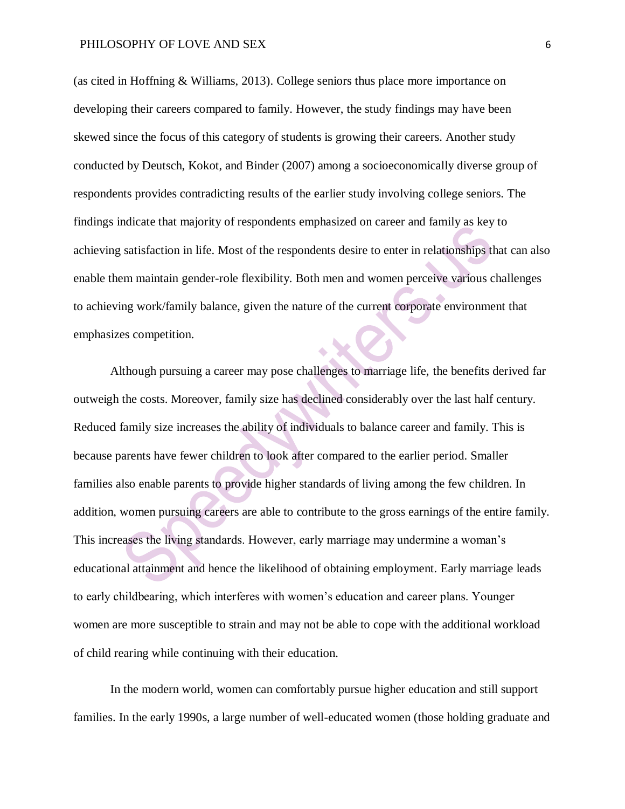(as cited in Hoffning & Williams, 2013). College seniors thus place more importance on developing their careers compared to family. However, the study findings may have been skewed since the focus of this category of students is growing their careers. Another study conducted by Deutsch, Kokot, and Binder (2007) among a socioeconomically diverse group of respondents provides contradicting results of the earlier study involving college seniors. The findings indicate that majority of respondents emphasized on career and family as key to achieving satisfaction in life. Most of the respondents desire to enter in relationships that can also enable them maintain gender-role flexibility. Both men and women perceive various challenges to achieving work/family balance, given the nature of the current corporate environment that emphasizes competition.

Although pursuing a career may pose challenges to marriage life, the benefits derived far outweigh the costs. Moreover, family size has declined considerably over the last half century. Reduced family size increases the ability of individuals to balance career and family. This is because parents have fewer children to look after compared to the earlier period. Smaller families also enable parents to provide higher standards of living among the few children. In addition, women pursuing careers are able to contribute to the gross earnings of the entire family. This increases the living standards. However, early marriage may undermine a woman's educational attainment and hence the likelihood of obtaining employment. Early marriage leads to early childbearing, which interferes with women's education and career plans. Younger women are more susceptible to strain and may not be able to cope with the additional workload of child rearing while continuing with their education.

In the modern world, women can comfortably pursue higher education and still support families. In the early 1990s, a large number of well-educated women (those holding graduate and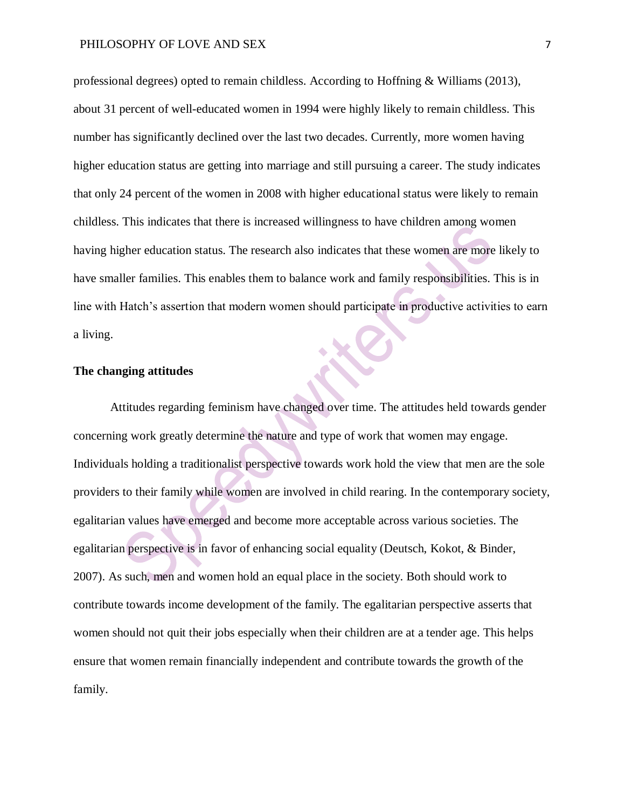#### PHILOSOPHY OF LOVE AND SEX 7

professional degrees) opted to remain childless. According to Hoffning & Williams (2013), about 31 percent of well-educated women in 1994 were highly likely to remain childless. This number has significantly declined over the last two decades. Currently, more women having higher education status are getting into marriage and still pursuing a career. The study indicates that only 24 percent of the women in 2008 with higher educational status were likely to remain childless. This indicates that there is increased willingness to have children among women having higher education status. The research also indicates that these women are more likely to have smaller families. This enables them to balance work and family responsibilities. This is in line with Hatch's assertion that modern women should participate in productive activities to earn a living. XC

# **The changing attitudes**

Attitudes regarding feminism have changed over time. The attitudes held towards gender concerning work greatly determine the nature and type of work that women may engage. Individuals holding a traditionalist perspective towards work hold the view that men are the sole providers to their family while women are involved in child rearing. In the contemporary society, egalitarian values have emerged and become more acceptable across various societies. The egalitarian perspective is in favor of enhancing social equality (Deutsch, Kokot, & Binder, 2007). As such, men and women hold an equal place in the society. Both should work to contribute towards income development of the family. The egalitarian perspective asserts that women should not quit their jobs especially when their children are at a tender age. This helps ensure that women remain financially independent and contribute towards the growth of the family.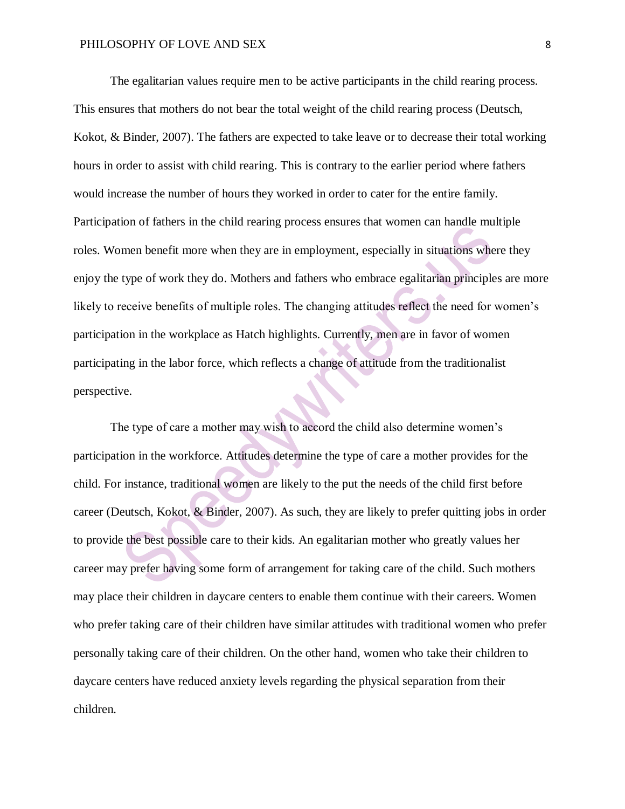The egalitarian values require men to be active participants in the child rearing process. This ensures that mothers do not bear the total weight of the child rearing process (Deutsch, Kokot, & Binder, 2007). The fathers are expected to take leave or to decrease their total working hours in order to assist with child rearing. This is contrary to the earlier period where fathers would increase the number of hours they worked in order to cater for the entire family. Participation of fathers in the child rearing process ensures that women can handle multiple roles. Women benefit more when they are in employment, especially in situations where they enjoy the type of work they do. Mothers and fathers who embrace egalitarian principles are more likely to receive benefits of multiple roles. The changing attitudes reflect the need for women's participation in the workplace as Hatch highlights. Currently, men are in favor of women participating in the labor force, which reflects a change of attitude from the traditionalist perspective.

The type of care a mother may wish to accord the child also determine women's participation in the workforce. Attitudes determine the type of care a mother provides for the child. For instance, traditional women are likely to the put the needs of the child first before career (Deutsch, Kokot, & Binder, 2007). As such, they are likely to prefer quitting jobs in order to provide the best possible care to their kids. An egalitarian mother who greatly values her career may prefer having some form of arrangement for taking care of the child. Such mothers may place their children in daycare centers to enable them continue with their careers. Women who prefer taking care of their children have similar attitudes with traditional women who prefer personally taking care of their children. On the other hand, women who take their children to daycare centers have reduced anxiety levels regarding the physical separation from their children.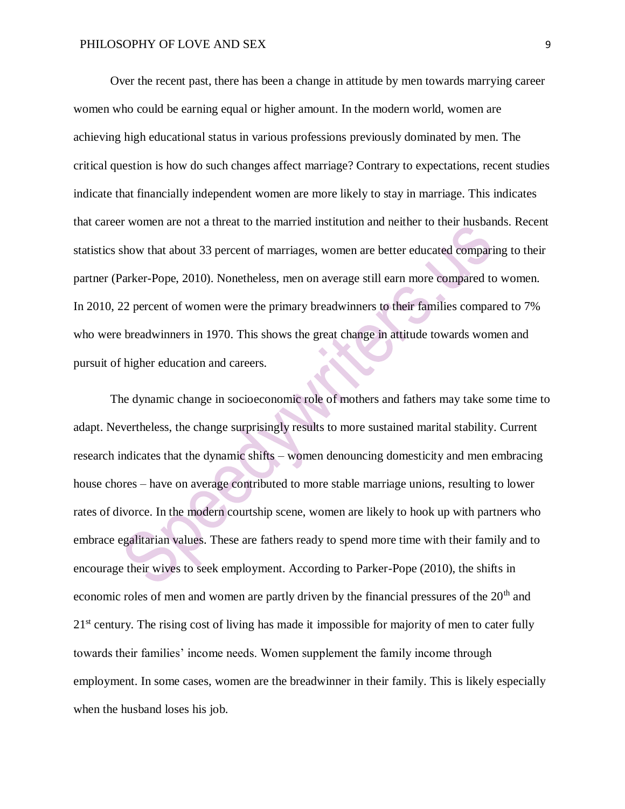Over the recent past, there has been a change in attitude by men towards marrying career women who could be earning equal or higher amount. In the modern world, women are achieving high educational status in various professions previously dominated by men. The critical question is how do such changes affect marriage? Contrary to expectations, recent studies indicate that financially independent women are more likely to stay in marriage. This indicates that career women are not a threat to the married institution and neither to their husbands. Recent statistics show that about 33 percent of marriages, women are better educated comparing to their partner (Parker-Pope, 2010). Nonetheless, men on average still earn more compared to women. In 2010, 22 percent of women were the primary breadwinners to their families compared to 7% who were breadwinners in 1970. This shows the great change in attitude towards women and pursuit of higher education and careers.

The dynamic change in socioeconomic role of mothers and fathers may take some time to adapt. Nevertheless, the change surprisingly results to more sustained marital stability. Current research indicates that the dynamic shifts – women denouncing domesticity and men embracing house chores – have on average contributed to more stable marriage unions, resulting to lower rates of divorce. In the modern courtship scene, women are likely to hook up with partners who embrace egalitarian values. These are fathers ready to spend more time with their family and to encourage their wives to seek employment. According to Parker-Pope (2010), the shifts in economic roles of men and women are partly driven by the financial pressures of the  $20<sup>th</sup>$  and 21<sup>st</sup> century. The rising cost of living has made it impossible for majority of men to cater fully towards their families' income needs. Women supplement the family income through employment. In some cases, women are the breadwinner in their family. This is likely especially when the husband loses his job.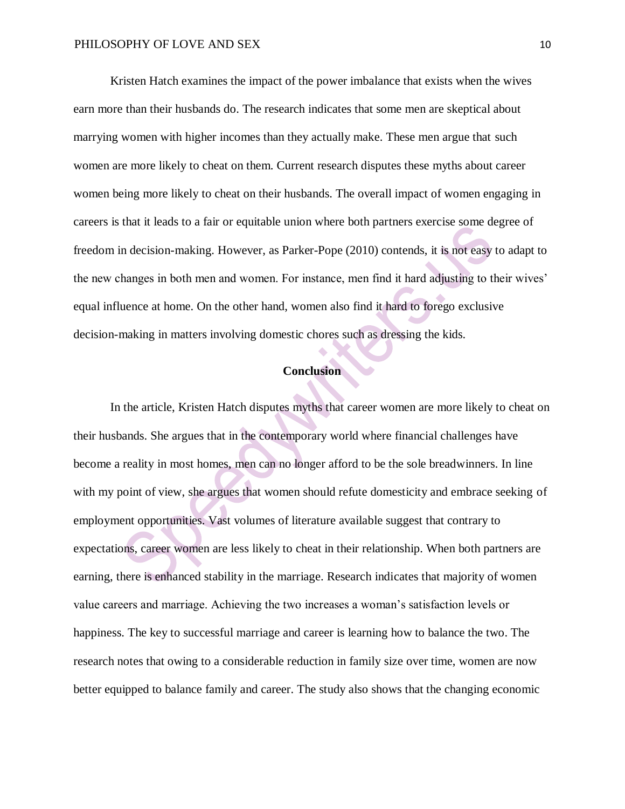Kristen Hatch examines the impact of the power imbalance that exists when the wives earn more than their husbands do. The research indicates that some men are skeptical about marrying women with higher incomes than they actually make. These men argue that such women are more likely to cheat on them. Current research disputes these myths about career women being more likely to cheat on their husbands. The overall impact of women engaging in careers is that it leads to a fair or equitable union where both partners exercise some degree of freedom in decision-making. However, as Parker-Pope (2010) contends, it is not easy to adapt to the new changes in both men and women. For instance, men find it hard adjusting to their wives' equal influence at home. On the other hand, women also find it hard to forego exclusive decision-making in matters involving domestic chores such as dressing the kids.

# **Conclusion**

In the article, Kristen Hatch disputes myths that career women are more likely to cheat on their husbands. She argues that in the contemporary world where financial challenges have become a reality in most homes, men can no longer afford to be the sole breadwinners. In line with my point of view, she argues that women should refute domesticity and embrace seeking of employment opportunities. Vast volumes of literature available suggest that contrary to expectations, career women are less likely to cheat in their relationship. When both partners are earning, there is enhanced stability in the marriage. Research indicates that majority of women value careers and marriage. Achieving the two increases a woman's satisfaction levels or happiness. The key to successful marriage and career is learning how to balance the two. The research notes that owing to a considerable reduction in family size over time, women are now better equipped to balance family and career. The study also shows that the changing economic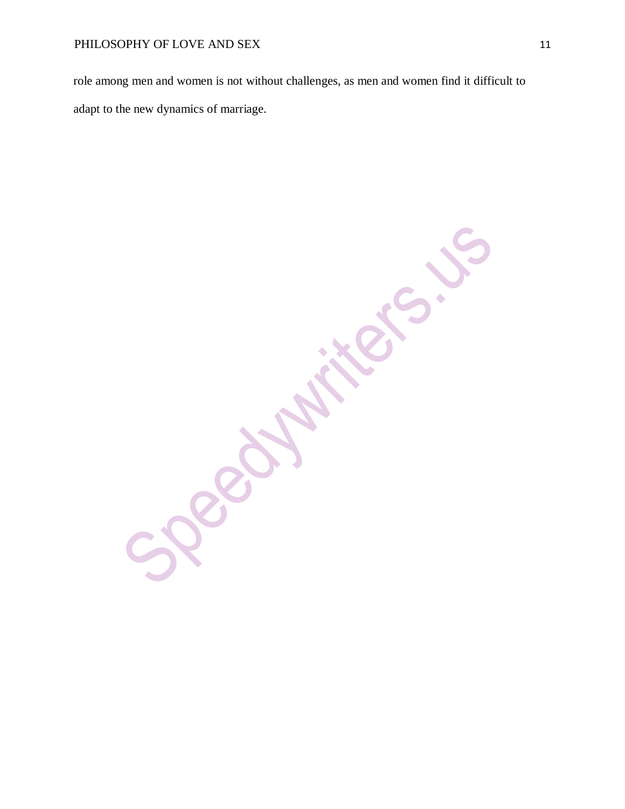role among men and women is not without challenges, as men and women find it difficult to adapt to the new dynamics of marriage.